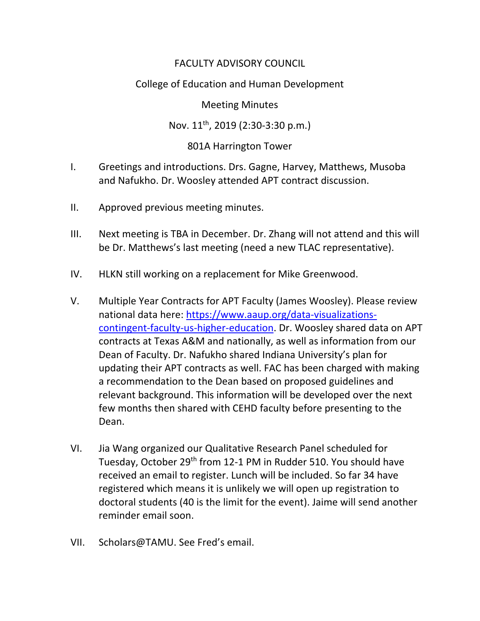## FACULTY ADVISORY COUNCIL

## College of Education and Human Development

Meeting Minutes

Nov. 11th, 2019 (2:30-3:30 p.m.)

801A Harrington Tower

- I. Greetings and introductions. Drs. Gagne, Harvey, Matthews, Musoba and Nafukho. Dr. Woosley attended APT contract discussion.
- II. Approved previous meeting minutes.
- III. Next meeting is TBA in December. Dr. Zhang will not attend and this will be Dr. Matthews's last meeting (need a new TLAC representative).
- IV. HLKN still working on a replacement for Mike Greenwood.
- V. Multiple Year Contracts for APT Faculty (James Woosley). Please review national data here: [https://www.aaup.org/data-visualizations](https://www.aaup.org/data-visualizations-contingent-faculty-us-higher-education)[contingent-faculty-us-higher-education.](https://www.aaup.org/data-visualizations-contingent-faculty-us-higher-education) Dr. Woosley shared data on APT contracts at Texas A&M and nationally, as well as information from our Dean of Faculty. Dr. Nafukho shared Indiana University's plan for updating their APT contracts as well. FAC has been charged with making a recommendation to the Dean based on proposed guidelines and relevant background. This information will be developed over the next few months then shared with CEHD faculty before presenting to the Dean.
- VI. Jia Wang organized our Qualitative Research Panel scheduled for Tuesday, October 29th from 12-1 PM in Rudder 510. You should have received an email to register. Lunch will be included. So far 34 have registered which means it is unlikely we will open up registration to doctoral students (40 is the limit for the event). Jaime will send another reminder email soon.
- VII. Scholars@TAMU. See Fred's email.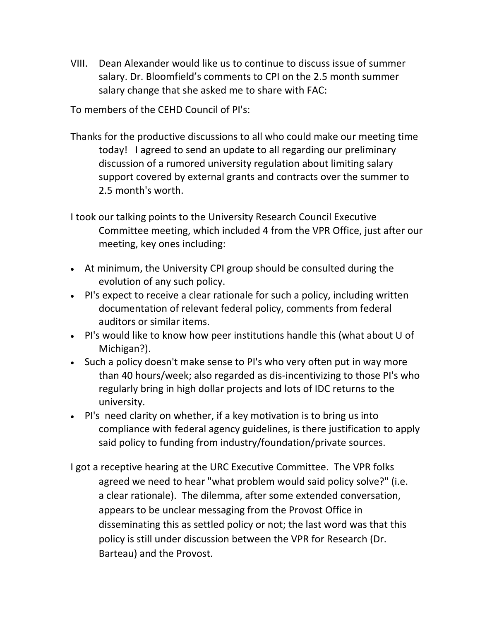VIII. Dean Alexander would like us to continue to discuss issue of summer salary. Dr. Bloomfield's comments to CPI on the 2.5 month summer salary change that she asked me to share with FAC:

To members of the CEHD Council of PI's:

- Thanks for the productive discussions to all who could make our meeting time today! I agreed to send an update to all regarding our preliminary discussion of a rumored university regulation about limiting salary support covered by external grants and contracts over the summer to 2.5 month's worth.
- I took our talking points to the University Research Council Executive Committee meeting, which included 4 from the VPR Office, just after our meeting, key ones including:
- At minimum, the University CPI group should be consulted during the evolution of any such policy.
- PI's expect to receive a clear rationale for such a policy, including written documentation of relevant federal policy, comments from federal auditors or similar items.
- PI's would like to know how peer institutions handle this (what about U of Michigan?).
- Such a policy doesn't make sense to PI's who very often put in way more than 40 hours/week; also regarded as dis-incentivizing to those PI's who regularly bring in high dollar projects and lots of IDC returns to the university.
- PI's need clarity on whether, if a key motivation is to bring us into compliance with federal agency guidelines, is there justification to apply said policy to funding from industry/foundation/private sources.
- I got a receptive hearing at the URC Executive Committee. The VPR folks agreed we need to hear "what problem would said policy solve?" (i.e. a clear rationale). The dilemma, after some extended conversation, appears to be unclear messaging from the Provost Office in disseminating this as settled policy or not; the last word was that this policy is still under discussion between the VPR for Research (Dr. Barteau) and the Provost.